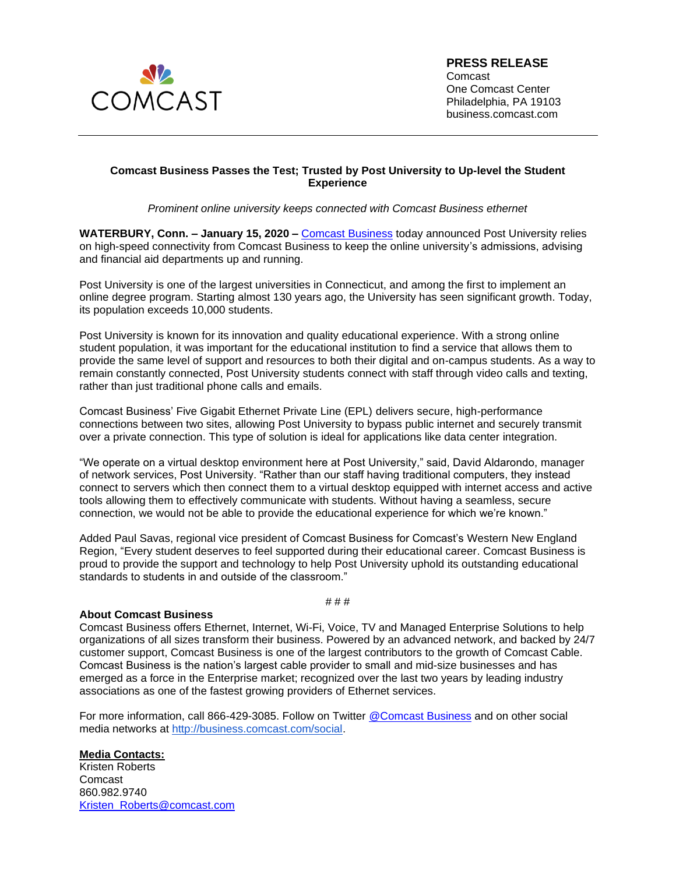

## **PRESS RELEASE**

Comcast One Comcast Center Philadelphia, PA 19103 business.comcast.com

## **Comcast Business Passes the Test; Trusted by Post University to Up-level the Student Experience**

*Prominent online university keeps connected with Comcast Business ethernet* 

**WATERBURY, Conn. – January 15, 2020 –** [Comcast Business](https://business.comcast.com/) today announced Post University relies on high-speed connectivity from Comcast Business to keep the online university's admissions, advising and financial aid departments up and running.

Post University is one of the largest universities in Connecticut, and among the first to implement an online degree program. Starting almost 130 years ago, the University has seen significant growth. Today, its population exceeds 10,000 students.

Post University is known for its innovation and quality educational experience. With a strong online student population, it was important for the educational institution to find a service that allows them to provide the same level of support and resources to both their digital and on-campus students. As a way to remain constantly connected, Post University students connect with staff through video calls and texting, rather than just traditional phone calls and emails.

Comcast Business' Five Gigabit Ethernet Private Line (EPL) delivers secure, high-performance connections between two sites, allowing Post University to bypass public internet and securely transmit over a private connection. This type of solution is ideal for applications like data center integration.

"We operate on a virtual desktop environment here at Post University," said, David Aldarondo, manager of network services, Post University. "Rather than our staff having traditional computers, they instead connect to servers which then connect them to a virtual desktop equipped with internet access and active tools allowing them to effectively communicate with students. Without having a seamless, secure connection, we would not be able to provide the educational experience for which we're known."

Added Paul Savas, regional vice president of Comcast Business for Comcast's Western New England Region, "Every student deserves to feel supported during their educational career. Comcast Business is proud to provide the support and technology to help Post University uphold its outstanding educational standards to students in and outside of the classroom."

## **About Comcast Business**

Comcast Business offers Ethernet, Internet, Wi-Fi, Voice, TV and Managed Enterprise Solutions to help organizations of all sizes transform their business. Powered by an advanced network, and backed by 24/7 customer support, Comcast Business is one of the largest contributors to the growth of Comcast Cable. Comcast Business is the nation's largest cable provider to small and mid-size businesses and has emerged as a force in the Enterprise market; recognized over the last two years by leading industry associations as one of the fastest growing providers of Ethernet services.

# # #

For more information, call 866-429-3085. Follow on Twitter [@Comcast Business](https://twitter.com/comcastbusiness?ref_src=twsrc%5Egoogle%7Ctwcamp%5Eserp%7Ctwgr%5Eauthor) and on other social media networks at [http://business.comcast.com/social.](http://business.comcast.com/about-us/social-media)

## **Media Contacts:**

Kristen Roberts Comcast 860.982.9740 [Kristen\\_Roberts@comcast.com](mailto:Kristen_Roberts@comcast.com)